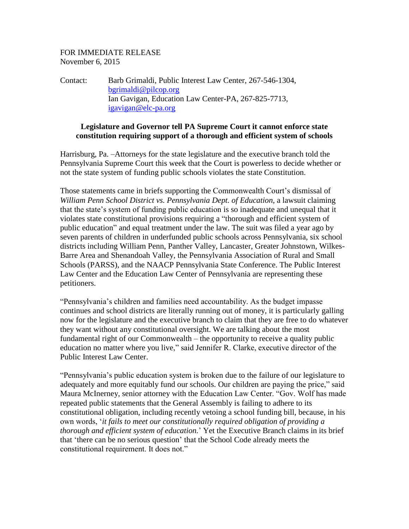## FOR IMMEDIATE RELEASE November 6, 2015

Contact: Barb Grimaldi, Public Interest Law Center, 267-546-1304, [bgrimaldi@pilcop.org](mailto:bgrimaldi@pilcop.org) Ian Gavigan, Education Law Center-PA, 267-825-7713, [igavigan@elc-pa.org](mailto:igavigan@elc-pa.org)

## **Legislature and Governor tell PA Supreme Court it cannot enforce state constitution requiring support of a thorough and efficient system of schools**

Harrisburg, Pa. –Attorneys for the state legislature and the executive branch told the Pennsylvania Supreme Court this week that the Court is powerless to decide whether or not the state system of funding public schools violates the state Constitution.

Those statements came in briefs supporting the Commonwealth Court's dismissal of *William Penn School District vs. Pennsylvania Dept. of Education*, a lawsuit claiming that the state's system of funding public education is so inadequate and unequal that it violates state constitutional provisions requiring a "thorough and efficient system of public education" and equal treatment under the law. The suit was filed a year ago by seven parents of children in underfunded public schools across Pennsylvania, six school districts including William Penn, Panther Valley, Lancaster, Greater Johnstown, Wilkes-Barre Area and Shenandoah Valley, the Pennsylvania Association of Rural and Small Schools (PARSS), and the NAACP Pennsylvania State Conference. The Public Interest Law Center and the Education Law Center of Pennsylvania are representing these petitioners.

"Pennsylvania's children and families need accountability. As the budget impasse continues and school districts are literally running out of money, it is particularly galling now for the legislature and the executive branch to claim that they are free to do whatever they want without any constitutional oversight. We are talking about the most fundamental right of our Commonwealth – the opportunity to receive a quality public education no matter where you live," said Jennifer R. Clarke, executive director of the Public Interest Law Center.

"Pennsylvania's public education system is broken due to the failure of our legislature to adequately and more equitably fund our schools. Our children are paying the price," said Maura McInerney, senior attorney with the Education Law Center. "Gov. Wolf has made repeated public statements that the General Assembly is failing to adhere to its constitutional obligation, including recently vetoing a school funding bill, because, in his own words, '*[it fails to meet our constitutionally required obligation of providing a](http://www.dailylocal.com/article/DL/20150702/NEWS/150709962)  [thorough and efficient system of education.](http://www.dailylocal.com/article/DL/20150702/NEWS/150709962)*' Yet the Executive Branch claims in its brief that 'there can be no serious question' that the School Code already meets the constitutional requirement. It does not."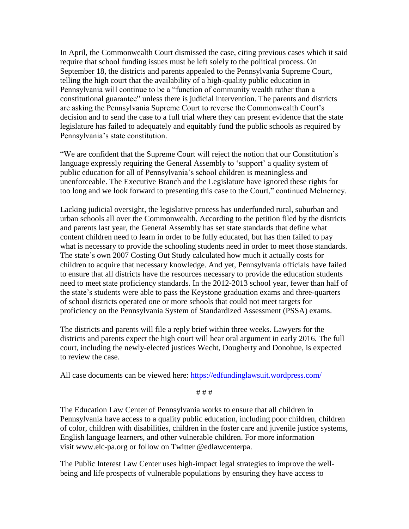In April, the Commonwealth Court dismissed the case, citing previous cases which it said require that school funding issues must be left solely to the political process. On September 18, the districts and parents appealed to the Pennsylvania Supreme Court, telling the high court that the availability of a high-quality public education in Pennsylvania will continue to be a "function of community wealth rather than a constitutional guarantee" unless there is judicial intervention. The parents and districts are asking the Pennsylvania Supreme Court to reverse the Commonwealth Court's decision and to send the case to a full trial where they can present evidence that the state legislature has failed to adequately and equitably fund the public schools as required by Pennsylvania's state constitution.

"We are confident that the Supreme Court will reject the notion that our Constitution's language expressly requiring the General Assembly to 'support' a quality system of public education for all of Pennsylvania's school children is meaningless and unenforceable. The Executive Branch and the Legislature have ignored these rights for too long and we look forward to presenting this case to the Court," continued McInerney.

Lacking judicial oversight, the legislative process has underfunded rural, suburban and urban schools all over the Commonwealth. According to the petition filed by the districts and parents last year, the General Assembly has set state standards that define what content children need to learn in order to be fully educated, but has then failed to pay what is necessary to provide the schooling students need in order to meet those standards. The state's own 2007 Costing Out Study calculated how much it actually costs for children to acquire that necessary knowledge. And yet, Pennsylvania officials have failed to ensure that all districts have the resources necessary to provide the education students need to meet state proficiency standards. In the 2012-2013 school year, fewer than half of the state's students were able to pass the Keystone graduation exams and three-quarters of school districts operated one or more schools that could not meet targets for proficiency on the Pennsylvania System of Standardized Assessment (PSSA) exams.

The districts and parents will file a reply brief within three weeks. Lawyers for the districts and parents expect the high court will hear oral argument in early 2016. The full court, including the newly-elected justices Wecht, Dougherty and Donohue, is expected to review the case.

All case documents can be viewed here:<https://edfundinglawsuit.wordpress.com/>

# # #

The Education Law Center of Pennsylvania works to ensure that all children in Pennsylvania have access to a quality public education, including poor children, children of color, children with disabilities, children in the foster care and juvenile justice systems, English language learners, and other vulnerable children. For more information visit [www.elc-pa.org](http://www.elc-pa.org/) or follow on Twitter @edlawcenterpa.

The Public Interest Law Center uses high-impact legal strategies to improve the wellbeing and life prospects of vulnerable populations by ensuring they have access to